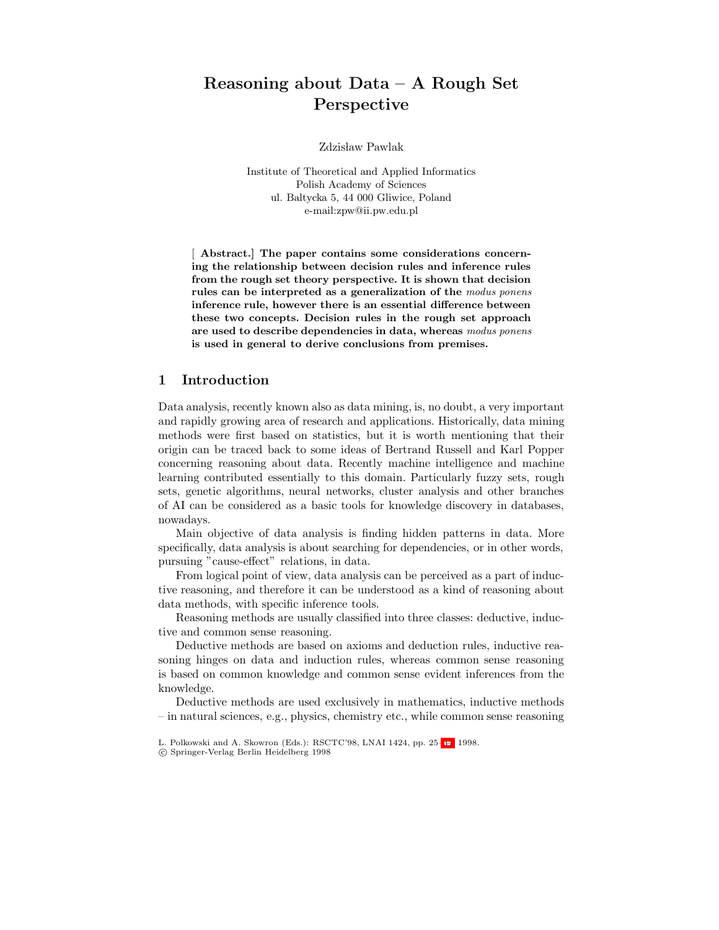# **Reasoning about Data – A Rough Set Perspective**

Zdzisław Pawlak

Institute of Theoretical and Applied Informatics Polish Academy of Sciences ul. Baltycka 5, 44 000 Gliwice, Poland e-mail:zpw@ii.pw.edu.pl

[ Abstract.] The paper contains some considerations concern**ing the relationship between decision rules and inference rules from the rough set theory perspective. It is shown that decision rules can be interpreted as a generalization of the** modus ponens **inference rule, however there is an essential difference between these two concepts. Decision rules in the rough set approach are used to describe dependencies in data, whereas** modus ponens **is used in general to derive conclusions from premises.**

#### **1 Introduction**

Data analysis, recently known also as data mining, is, no doubt, a very important and rapidly growing area of research and applications. Historically, data mining methods were first based on statistics, but it is worth mentioning that their origin can be traced back to some ideas of Bertrand Russell and Karl Popper concerning reasoning about data. Recently machine intelligence and machine learning contributed essentially to this domain. Particularly fuzzy sets, rough sets, genetic algorithms, neural networks, cluster analysis and other branches of AI can be considered as a basic tools for knowledge discovery in databases, nowadays.

Main objective of data analysis is finding hidden patterns in data. More specifically, data analysis is about searching for dependencies, or in other words, pursuing "cause-effect" relations, in data.

From logical point of view, data analysis can be perceived as a part of inductive reasoning, and therefore it can be understood as a kind of reasoning about data methods, with specific inference tools.

Reasoning methods are usually classified into three classes: deductive, inductive and common sense reasoning.

Deductive methods are based on axioms and deduction rules, inductive reasoning hinges on data and induction rules, whereas common sense reasoning is based on common knowledge and common sense evident inferences from the knowledge.

Deductive methods are used exclusively in mathematics, inductive methods – in natural sciences, e.g., physics, chemistry etc., while common sense reasoning

L. Polkowski and A. Skowron (Eds.): RSCTC'98, LNAI 1424, pp. 25[–34,](#page-9-0) 1998.

c Springer-Verlag Berlin Heidelberg 1998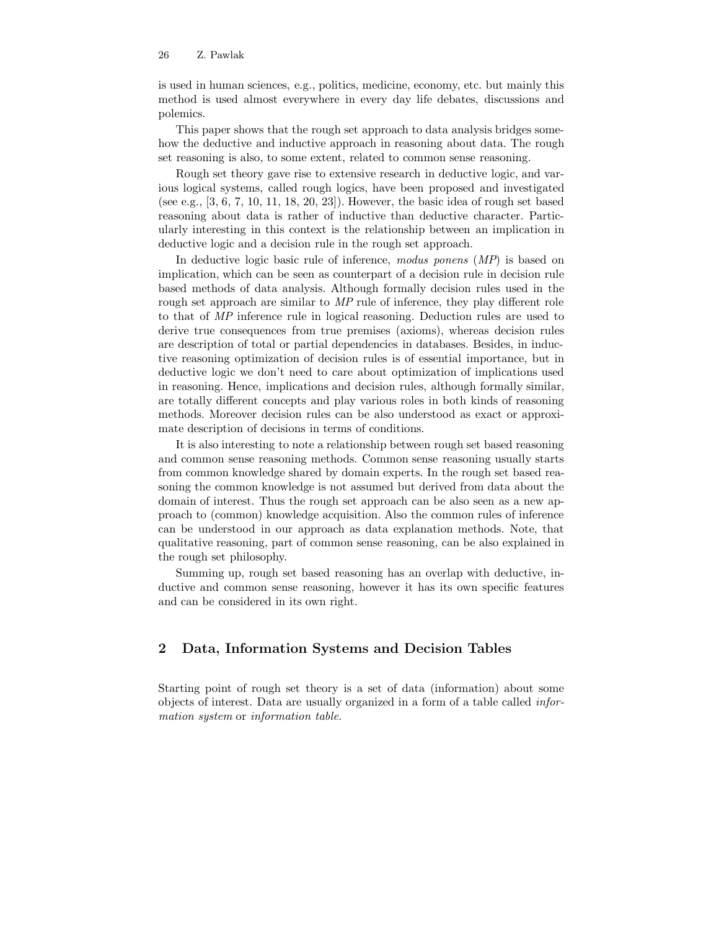is used in human sciences, e.g., politics, medicine, economy, etc. but mainly this method is used almost everywhere in every day life debates, discussions and polemics.

This paper shows that the rough set approach to data analysis bridges somehow the deductive and inductive approach in reasoning about data. The rough set reasoning is also, to some extent, related to common sense reasoning.

Rough set theory gave rise to extensive research in deductive logic, and various logical systems, called rough logics, have been proposed and investigated (see e.g.,  $[3, 6, 7, 10, 11, 18, 20, 23]$ ). However, the basic idea of rough set based reasoning about data is rather of inductive than deductive character. Particularly interesting in this context is the relationship between an implication in deductive logic and a decision rule in the rough set approach.

In deductive logic basic rule of inference, modus ponens (MP) is based on implication, which can be seen as counterpart of a decision rule in decision rule based methods of data analysis. Although formally decision rules used in the rough set approach are similar to MP rule of inference, they play different role to that of MP inference rule in logical reasoning. Deduction rules are used to derive true consequences from true premises (axioms), whereas decision rules are description of total or partial dependencies in databases. Besides, in inductive reasoning optimization of decision rules is of essential importance, but in deductive logic we don't need to care about optimization of implications used in reasoning. Hence, implications and decision rules, although formally similar, are totally different concepts and play various roles in both kinds of reasoning methods. Moreover decision rules can be also understood as exact or approximate description of decisions in terms of conditions.

It is also interesting to note a relationship between rough set based reasoning and common sense reasoning methods. Common sense reasoning usually starts from common knowledge shared by domain experts. In the rough set based reasoning the common knowledge is not assumed but derived from data about the domain of interest. Thus the rough set approach can be also seen as a new approach to (common) knowledge acquisition. Also the common rules of inference can be understood in our approach as data explanation methods. Note, that qualitative reasoning, part of common sense reasoning, can be also explained in the rough set philosophy.

Summing up, rough set based reasoning has an overlap with deductive, inductive and common sense reasoning, however it has its own specific features and can be considered in its own right.

# **2 Data, Information Systems and Decision Tables**

Starting point of rough set theory is a set of data (information) about some objects of interest. Data are usually organized in a form of a table called information system or information table.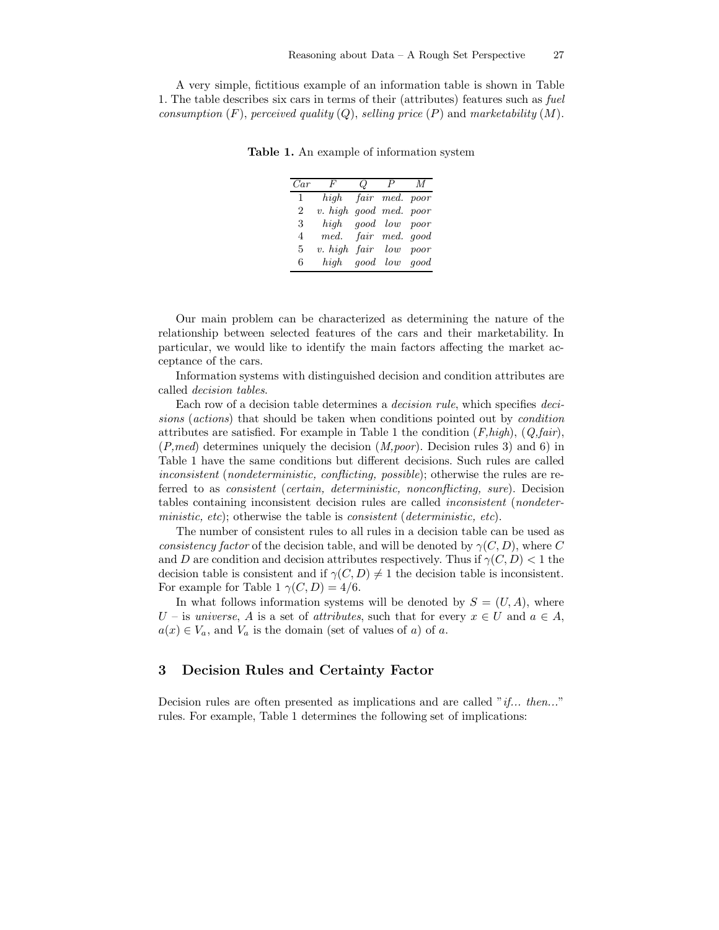A very simple, fictitious example of an information table is shown in Table 1. The table describes six cars in terms of their (attributes) features such as fuel consumption  $(F)$ , perceived quality  $(Q)$ , selling price  $(P)$  and marketability  $(M)$ .

| F         | $\omega$ | P | M                                                                                                                                 |
|-----------|----------|---|-----------------------------------------------------------------------------------------------------------------------------------|
|           |          |   |                                                                                                                                   |
|           |          |   |                                                                                                                                   |
|           |          |   |                                                                                                                                   |
|           |          |   |                                                                                                                                   |
| $v.$ high |          |   |                                                                                                                                   |
|           |          |   |                                                                                                                                   |
|           |          |   | high fair med. poor<br>v. high good med. poor<br>high good low poor<br>med. fair med. good<br>fair low poor<br>high good low good |

**Table 1.** An example of information system

Our main problem can be characterized as determining the nature of the relationship between selected features of the cars and their marketability. In particular, we would like to identify the main factors affecting the market acceptance of the cars.

Information systems with distinguished decision and condition attributes are called decision tables.

Each row of a decision table determines a decision rule, which specifies decisions (actions) that should be taken when conditions pointed out by condition attributes are satisfied. For example in Table 1 the condition  $(F, high)$ ,  $(Q, fair)$ ,  $(P,med)$  determines uniquely the decision  $(M,poor)$ . Decision rules 3) and 6) in Table 1 have the same conditions but different decisions. Such rules are called inconsistent (nondeterministic, conflicting, possible); otherwise the rules are referred to as consistent (certain, deterministic, nonconflicting, sure). Decision tables containing inconsistent decision rules are called inconsistent (nondeterministic, etc); otherwise the table is *consistent* (*deterministic, etc*).

The number of consistent rules to all rules in a decision table can be used as consistency factor of the decision table, and will be denoted by  $\gamma(C, D)$ , where C and D are condition and decision attributes respectively. Thus if  $\gamma(C, D) < 1$  the decision table is consistent and if  $\gamma(C, D) \neq 1$  the decision table is inconsistent. For example for Table 1  $\gamma(C, D) = 4/6$ .

In what follows information systems will be denoted by  $S = (U, A)$ , where U – is universe, A is a set of attributes, such that for every  $x \in U$  and  $a \in A$ ,  $a(x) \in V_a$ , and  $V_a$  is the domain (set of values of a) of a.

#### **3 Decision Rules and Certainty Factor**

Decision rules are often presented as implications and are called " $if...$  then..." rules. For example, Table 1 determines the following set of implications: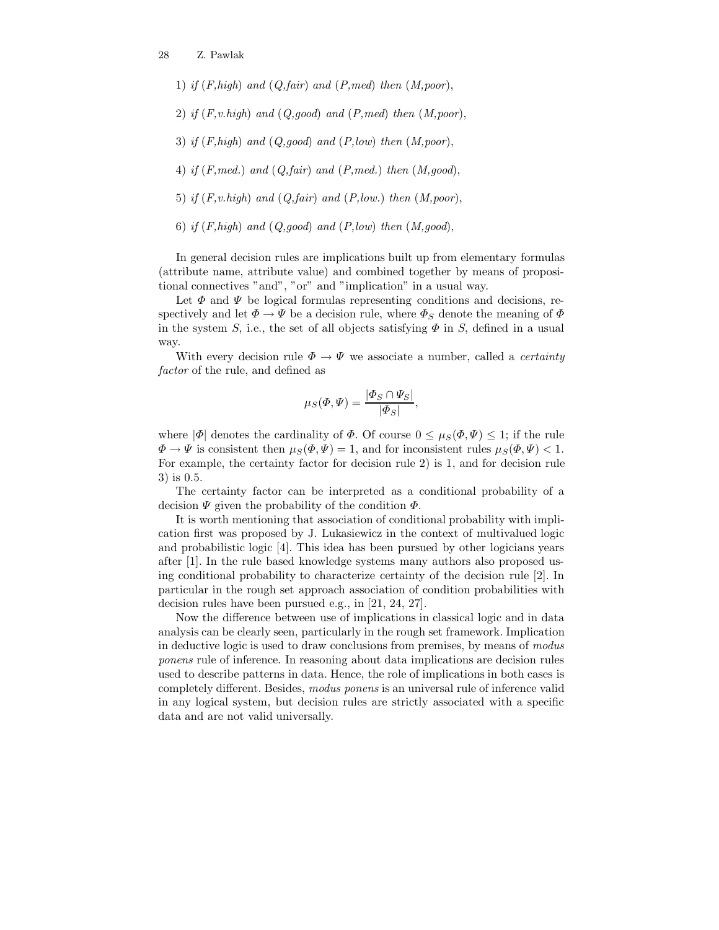- 1) if  $(F, high)$  and  $(Q, fair)$  and  $(P, med)$  then  $(M, poor)$ ,
- 2) if  $(F, v. high)$  and  $(Q, good)$  and  $(P, med)$  then  $(M, poor)$ ,
- 3) if  $(F, high)$  and  $(Q, good)$  and  $(P, low)$  then  $(M, poor)$ ,
- 4) if  $(F,med.)$  and  $(Q,fair)$  and  $(P,med.)$  then  $(M, good),$
- 5) if  $(F, v. high)$  and  $(Q, fair)$  and  $(P, low.)$  then  $(M, poor)$ ,
- 6) if  $(F, high)$  and  $(Q, good)$  and  $(P, low)$  then  $(M, good)$ ,

In general decision rules are implications built up from elementary formulas (attribute name, attribute value) and combined together by means of propositional connectives "and", "or" and "implication" in a usual way.

Let  $\Phi$  and  $\Psi$  be logical formulas representing conditions and decisions, respectively and let  $\Phi \to \Psi$  be a decision rule, where  $\Phi_S$  denote the meaning of  $\Phi$ in the system S, i.e., the set of all objects satisfying  $\Phi$  in S, defined in a usual way.

With every decision rule  $\Phi \to \Psi$  we associate a number, called a *certainty* factor of the rule, and defined as

$$
\mu_S(\varPhi,\varPsi)=\frac{|\varPhi_S\cap\varPsi_S|}{|\varPhi_S|},
$$

where  $|\Phi|$  denotes the cardinality of  $\Phi$ . Of course  $0 \leq \mu_S(\Phi, \Psi) \leq 1$ ; if the rule  $\Phi \to \Psi$  is consistent then  $\mu_S(\Phi, \Psi) = 1$ , and for inconsistent rules  $\mu_S(\Phi, \Psi) < 1$ . For example, the certainty factor for decision rule 2) is 1, and for decision rule 3) is 0.5.

The certainty factor can be interpreted as a conditional probability of a decision  $\Psi$  given the probability of the condition  $\Phi$ .

It is worth mentioning that association of conditional probability with implication first was proposed by J. Lukasiewicz in the context of multivalued logic and probabilistic logic [4]. This idea has been pursued by other logicians years after [1]. In the rule based knowledge systems many authors also proposed using conditional probability to characterize certainty of the decision rule [2]. In particular in the rough set approach association of condition probabilities with decision rules have been pursued e.g., in [21, 24, 27].

Now the difference between use of implications in classical logic and in data analysis can be clearly seen, particularly in the rough set framework. Implication in deductive logic is used to draw conclusions from premises, by means of modus ponens rule of inference. In reasoning about data implications are decision rules used to describe patterns in data. Hence, the role of implications in both cases is completely different. Besides, modus ponens is an universal rule of inference valid in any logical system, but decision rules are strictly associated with a specific data and are not valid universally.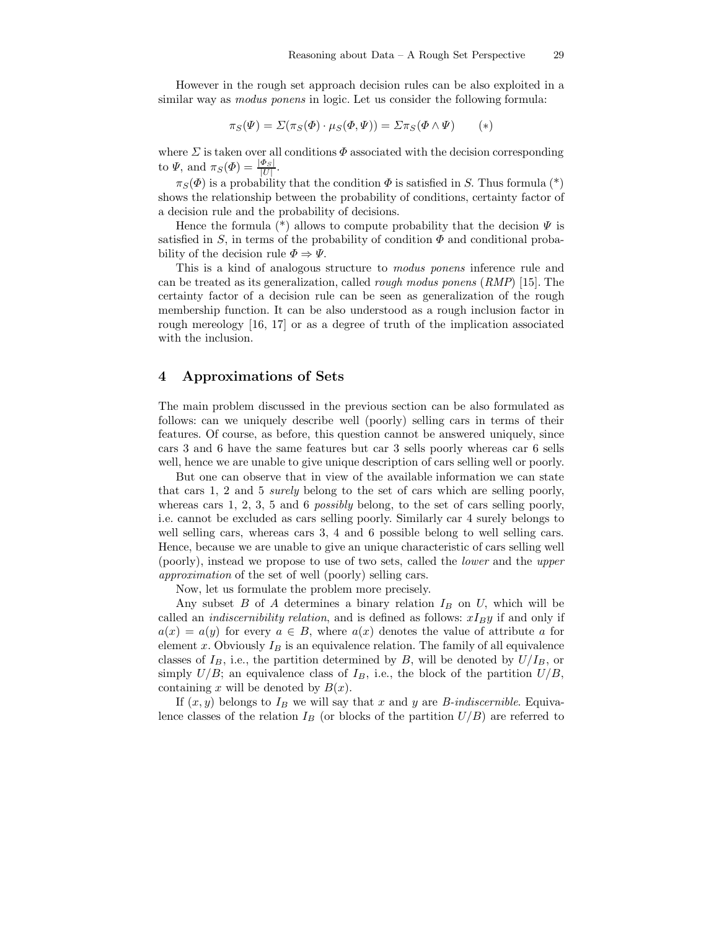However in the rough set approach decision rules can be also exploited in a similar way as *modus ponens* in logic. Let us consider the following formula:

$$
\pi_S(\Psi) = \Sigma(\pi_S(\Phi) \cdot \mu_S(\Phi, \Psi)) = \Sigma \pi_S(\Phi \wedge \Psi) \qquad (*)
$$

where  $\Sigma$  is taken over all conditions  $\Phi$  associated with the decision corresponding to  $\Psi$ , and  $\pi_S(\Phi) = \frac{|\Phi_S|}{|U|}$ .

 $\pi_S(\Phi)$  is a probability that the condition  $\Phi$  is satisfied in S. Thus formula (\*) shows the relationship between the probability of conditions, certainty factor of a decision rule and the probability of decisions.

Hence the formula (\*) allows to compute probability that the decision  $\Psi$  is satisfied in S, in terms of the probability of condition  $\Phi$  and conditional probability of the decision rule  $\Phi \Rightarrow \Psi$ .

This is a kind of analogous structure to modus ponens inference rule and can be treated as its generalization, called *rough modus ponens*  $(RMP)$  [15]. The certainty factor of a decision rule can be seen as generalization of the rough membership function. It can be also understood as a rough inclusion factor in rough mereology [16, 17] or as a degree of truth of the implication associated with the inclusion.

#### **4 Approximations of Sets**

The main problem discussed in the previous section can be also formulated as follows: can we uniquely describe well (poorly) selling cars in terms of their features. Of course, as before, this question cannot be answered uniquely, since cars 3 and 6 have the same features but car 3 sells poorly whereas car 6 sells well, hence we are unable to give unique description of cars selling well or poorly.

But one can observe that in view of the available information we can state that cars 1, 2 and 5 surely belong to the set of cars which are selling poorly, whereas cars 1, 2, 3, 5 and 6 *possibly* belong, to the set of cars selling poorly, i.e. cannot be excluded as cars selling poorly. Similarly car 4 surely belongs to well selling cars, whereas cars 3, 4 and 6 possible belong to well selling cars. Hence, because we are unable to give an unique characteristic of cars selling well (poorly), instead we propose to use of two sets, called the lower and the upper approximation of the set of well (poorly) selling cars.

Now, let us formulate the problem more precisely.

Any subset B of A determines a binary relation  $I_B$  on U, which will be called an *indiscernibility relation*, and is defined as follows:  $xI_{B}y$  if and only if  $a(x) = a(y)$  for every  $a \in B$ , where  $a(x)$  denotes the value of attribute a for element x. Obviously  $I_B$  is an equivalence relation. The family of all equivalence classes of  $I_B$ , i.e., the partition determined by B, will be denoted by  $U/I_B$ , or simply  $U/B$ ; an equivalence class of  $I_B$ , i.e., the block of the partition  $U/B$ , containing x will be denoted by  $B(x)$ .

If  $(x, y)$  belongs to  $I_B$  we will say that x and y are B-indiscernible. Equivalence classes of the relation  $I_B$  (or blocks of the partition  $U/B$ ) are referred to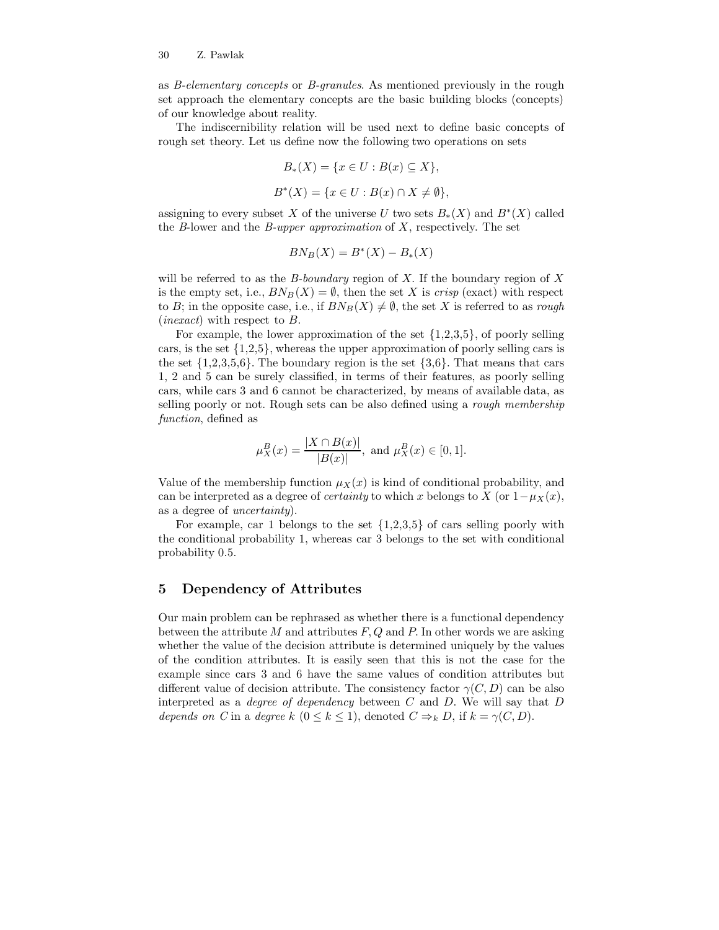as B-elementary concepts or B-granules. As mentioned previously in the rough set approach the elementary concepts are the basic building blocks (concepts) of our knowledge about reality.

The indiscernibility relation will be used next to define basic concepts of rough set theory. Let us define now the following two operations on sets

$$
B_*(X) = \{x \in U : B(x) \subseteq X\},\
$$
  

$$
B^*(X) = \{x \in U : B(x) \cap X \neq \emptyset\},\
$$

assigning to every subset X of the universe U two sets  $B_*(X)$  and  $B^*(X)$  called the B-lower and the B-upper approximation of X, respectively. The set

$$
BN_B(X) = B^*(X) - B_*(X)
$$

will be referred to as the *B-boundary* region of X. If the boundary region of X is the empty set, i.e.,  $BN_B(X) = \emptyset$ , then the set X is *crisp* (exact) with respect to B; in the opposite case, i.e., if  $BN_B(X) \neq \emptyset$ , the set X is referred to as rough (*inexact*) with respect to  $B$ .

For example, the lower approximation of the set  $\{1,2,3,5\}$ , of poorly selling cars, is the set  $\{1,2,5\}$ , whereas the upper approximation of poorly selling cars is the set  $\{1,2,3,5,6\}$ . The boundary region is the set  $\{3,6\}$ . That means that cars 1, 2 and 5 can be surely classified, in terms of their features, as poorly selling cars, while cars 3 and 6 cannot be characterized, by means of available data, as selling poorly or not. Rough sets can be also defined using a rough membership function, defined as

$$
\mu_X^B(x) = \frac{|X \cap B(x)|}{|B(x)|}
$$
, and  $\mu_X^B(x) \in [0, 1]$ .

Value of the membership function  $\mu_X(x)$  is kind of conditional probability, and can be interpreted as a degree of *certainty* to which x belongs to X (or  $1-\mu_X(x)$ , as a degree of uncertainty).

For example, car 1 belongs to the set  $\{1,2,3,5\}$  of cars selling poorly with the conditional probability 1, whereas car 3 belongs to the set with conditional probability 0.5.

# **5 Dependency of Attributes**

Our main problem can be rephrased as whether there is a functional dependency between the attribute M and attributes  $F, Q$  and P. In other words we are asking whether the value of the decision attribute is determined uniquely by the values of the condition attributes. It is easily seen that this is not the case for the example since cars 3 and 6 have the same values of condition attributes but different value of decision attribute. The consistency factor  $\gamma(C, D)$  can be also interpreted as a *degree of dependency* between  $C$  and  $D$ . We will say that  $D$ depends on C in a degree k  $(0 \le k \le 1)$ , denoted  $C \Rightarrow_k D$ , if  $k = \gamma(C, D)$ .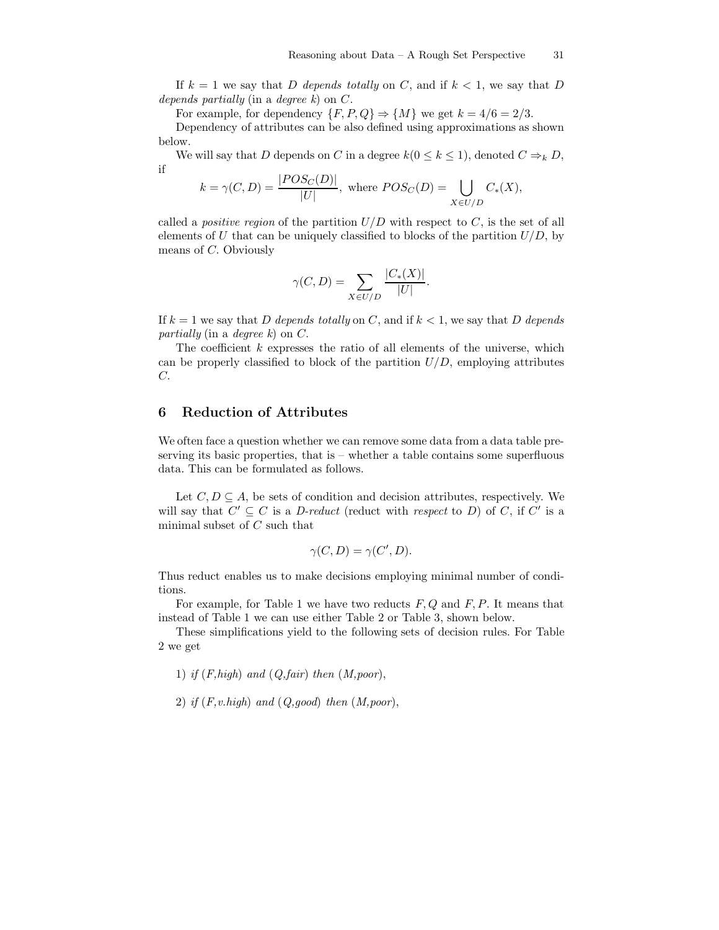If  $k = 1$  we say that D depends totally on C, and if  $k < 1$ , we say that D depends partially (in a degree  $k$ ) on  $C$ .

For example, for dependency  $\{F, P, Q\} \Rightarrow \{M\}$  we get  $k = 4/6 = 2/3$ .

Dependency of attributes can be also defined using approximations as shown below.

We will say that D depends on C in a degree  $k(0 \leq k \leq 1)$ , denoted  $C \Rightarrow_k D$ , if

$$
k = \gamma(C, D) = \frac{|POS_C(D)|}{|U|}, \text{ where } POS_C(D) = \bigcup_{X \in U/D} C_*(X),
$$

called a *positive region* of the partition  $U/D$  with respect to C, is the set of all elements of U that can be uniquely classified to blocks of the partition  $U/D$ , by means of C. Obviously

$$
\gamma(C,D) = \sum_{X \in U/D} \frac{|C_*(X)|}{|U|}.
$$

If  $k = 1$  we say that D depends totally on C, and if  $k < 1$ , we say that D depends partially (in a degree k) on  $C$ .

The coefficient  $k$  expresses the ratio of all elements of the universe, which can be properly classified to block of the partition  $U/D$ , employing attributes C.

### **6 Reduction of Attributes**

We often face a question whether we can remove some data from a data table preserving its basic properties, that is – whether a table contains some superfluous data. This can be formulated as follows.

Let  $C, D \subseteq A$ , be sets of condition and decision attributes, respectively. We will say that  $C' \subseteq C$  is a *D-reduct* (reduct with *respect* to *D*) of *C*, if *C'* is a minimal subset of  $C$  such that

$$
\gamma(C, D) = \gamma(C', D).
$$

Thus reduct enables us to make decisions employing minimal number of conditions.

For example, for Table 1 we have two reducts  $F, Q$  and  $F, P$ . It means that instead of Table 1 we can use either Table 2 or Table 3, shown below.

These simplifications yield to the following sets of decision rules. For Table 2 we get

- 1) if  $(F, high)$  and  $(Q, fair)$  then  $(M, poor)$ ,
- 2) if  $(F, v. high)$  and  $(Q, good)$  then  $(M, poor)$ ,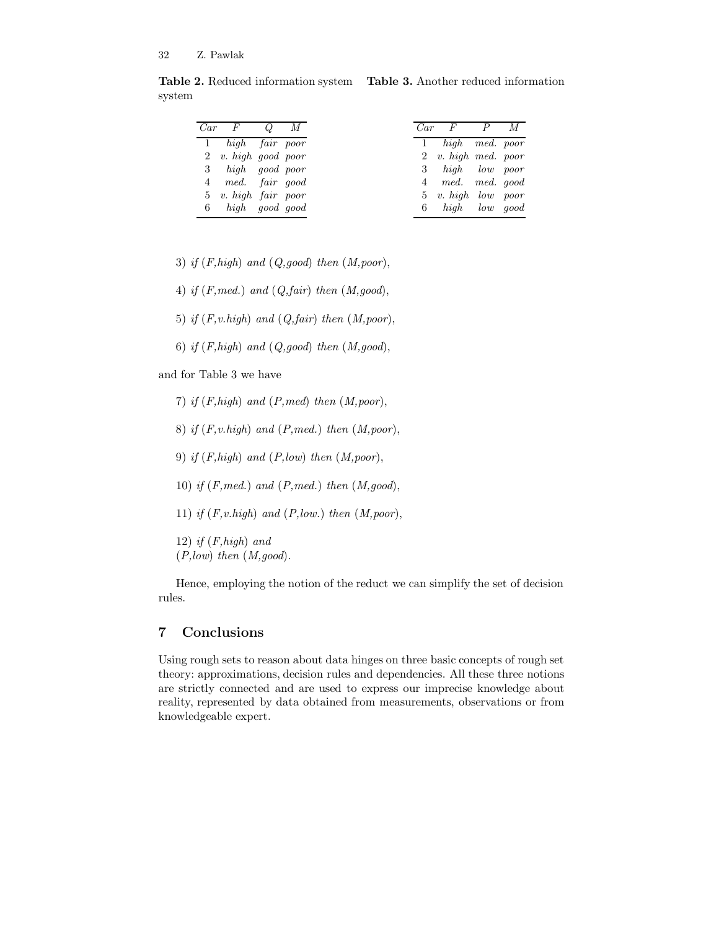**Table 2.** Reduced information system **Table 3.** Another reduced information system

| Car | F              | $Q_{-}$   | М                |
|-----|----------------|-----------|------------------|
| 1   | high           | fair poor |                  |
| 2   | $v.$ high      |           | qood poor        |
| 3   | high           |           | <i>good</i> poor |
| 4   | med. fair good |           |                  |
| 5   | $v.$ high      |           | fair poor        |
| 6   | high           |           | qood qood        |

| Car            | F         | P         | M    |
|----------------|-----------|-----------|------|
| 1              | high      | med. poor |      |
| 2              | $v.$ high | med. poor |      |
| з              | high      | low poor  |      |
| $\overline{4}$ | med. med. |           | good |
| 5              | $v.$ high | $_{low}$  | poor |
| 6              | high      | low       | good |

- 3) if  $(F, high)$  and  $(Q, good)$  then  $(M, poor)$ ,
- 4) if  $(F,med.)$  and  $(Q,fair)$  then  $(M, good)$ ,
- 5) if  $(F, v. high)$  and  $(Q, fair)$  then  $(M, poor)$ ,
- 6) if  $(F, high)$  and  $(Q, good)$  then  $(M, good)$ ,

and for Table 3 we have

7) if  $(F, high)$  and  $(P, med)$  then  $(M, poor)$ ,

8) if  $(F, v. high)$  and  $(P, med.)$  then  $(M, poor)$ ,

9) if  $(F, high)$  and  $(P, low)$  then  $(M, poor)$ ,

10) if  $(F,med.)$  and  $(P,med.)$  then  $(M,good),$ 

- 11) if  $(F, v. high)$  and  $(P, low.)$  then  $(M, poor)$ ,
- 12) if  $(F, high)$  and  $(P,low)$  then  $(M, good)$ .

Hence, employing the notion of the reduct we can simplify the set of decision rules.

# **7 Conclusions**

Using rough sets to reason about data hinges on three basic concepts of rough set theory: approximations, decision rules and dependencies. All these three notions are strictly connected and are used to express our imprecise knowledge about reality, represented by data obtained from measurements, observations or from knowledgeable expert.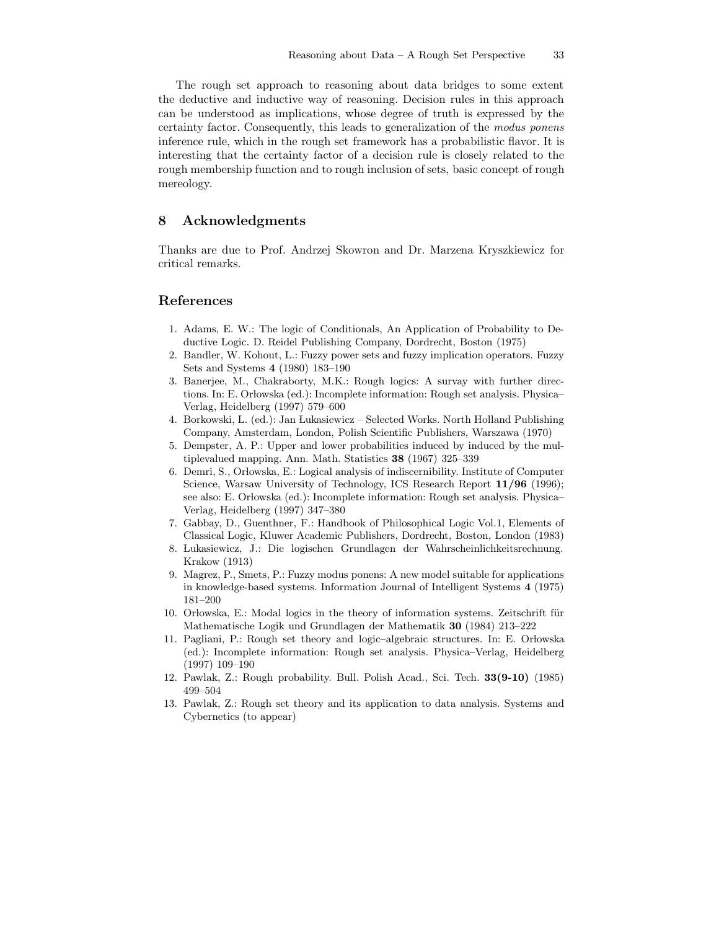The rough set approach to reasoning about data bridges to some extent the deductive and inductive way of reasoning. Decision rules in this approach can be understood as implications, whose degree of truth is expressed by the certainty factor. Consequently, this leads to generalization of the modus ponens inference rule, which in the rough set framework has a probabilistic flavor. It is interesting that the certainty factor of a decision rule is closely related to the rough membership function and to rough inclusion of sets, basic concept of rough mereology.

### **8 Acknowledgments**

Thanks are due to Prof. Andrzej Skowron and Dr. Marzena Kryszkiewicz for critical remarks.

## **References**

- 1. Adams, E. W.: The logic of Conditionals, An Application of Probability to Deductive Logic. D. Reidel Publishing Company, Dordrecht, Boston (1975)
- 2. Bandler, W. Kohout, L.: Fuzzy power sets and fuzzy implication operators. Fuzzy Sets and Systems **4** (1980) 183–190
- 3. Banerjee, M., Chakraborty, M.K.: Rough logics: A survay with further directions. In: E. Orłowska (ed.): Incomplete information: Rough set analysis. Physica– Verlag, Heidelberg (1997) 579–600
- 4. Borkowski, L. (ed.): Jan Lukasiewicz Selected Works. North Holland Publishing Company, Amsterdam, London, Polish Scientific Publishers, Warszawa (1970)
- 5. Dempster, A. P.: Upper and lower probabilities induced by induced by the multiplevalued mapping. Ann. Math. Statistics **38** (1967) 325–339
- 6. Demri, S., Or lowska, E.: Logical analysis of indiscernibility. Institute of Computer Science, Warsaw University of Technology, ICS Research Report **11/96** (1996); see also: E. Orłowska (ed.): Incomplete information: Rough set analysis. Physica-Verlag, Heidelberg (1997) 347–380
- 7. Gabbay, D., Guenthner, F.: Handbook of Philosophical Logic Vol.1, Elements of Classical Logic, Kluwer Academic Publishers, Dordrecht, Boston, London (1983)
- 8. Lukasiewicz, J.: Die logischen Grundlagen der Wahrscheinlichkeitsrechnung. Krakow (1913)
- 9. Magrez, P., Smets, P.: Fuzzy modus ponens: A new model suitable for applications in knowledge-based systems. Information Journal of Intelligent Systems **4** (1975) 181–200
- 10. Orlowska, E.: Modal logics in the theory of information systems. Zeitschrift für Mathematische Logik und Grundlagen der Mathematik **30** (1984) 213–222
- 11. Pagliani, P.: Rough set theory and logic–algebraic structures. In: E. Orlowska (ed.): Incomplete information: Rough set analysis. Physica–Verlag, Heidelberg (1997) 109–190
- 12. Pawlak, Z.: Rough probability. Bull. Polish Acad., Sci. Tech. **33(9-10)** (1985) 499–504
- 13. Pawlak, Z.: Rough set theory and its application to data analysis. Systems and Cybernetics (to appear)